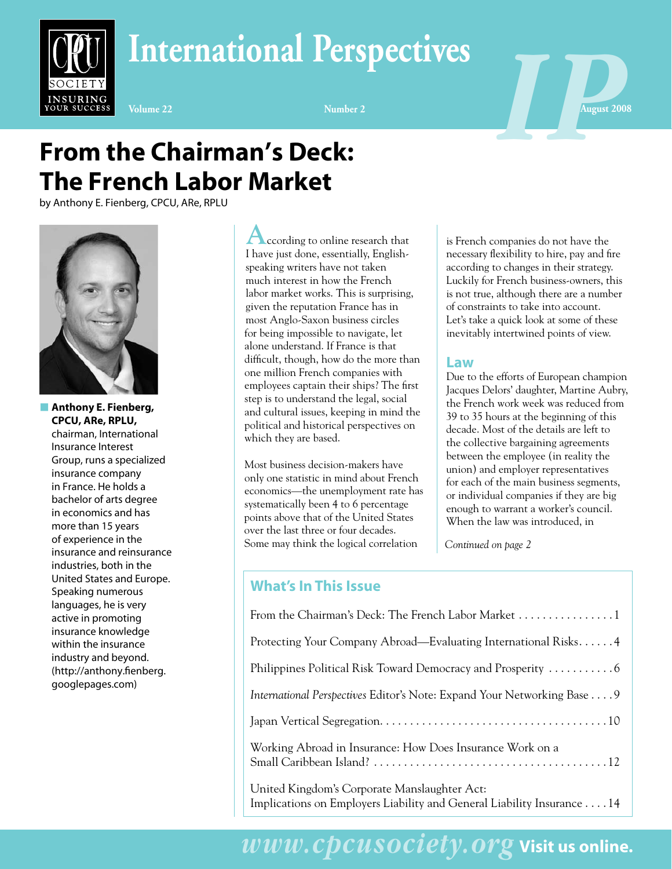



# **From the Chairman's Deck: The French Labor Market**

by Anthony E. Fienberg, CPCU, ARe, RPLU



INSURING

**n** Anthony E. Fienberg, **CPCU, ARe, RPLU,** chairman, International Insurance Interest Group, runs a specialized insurance company in France. He holds a bachelor of arts degree in economics and has more than 15 years of experience in the insurance and reinsurance industries, both in the United States and Europe. Speaking numerous languages, he is very active in promoting insurance knowledge within the insurance industry and beyond. (http://anthony.fienberg. googlepages.com)

**According to online research that** I have just done, essentially, Englishspeaking writers have not taken much interest in how the French labor market works. This is surprising, given the reputation France has in most Anglo-Saxon business circles for being impossible to navigate, let alone understand. If France is that difficult, though, how do the more than one million French companies with employees captain their ships? The first step is to understand the legal, social and cultural issues, keeping in mind the political and historical perspectives on which they are based.

Most business decision-makers have only one statistic in mind about French economics—the unemployment rate has systematically been 4 to 6 percentage points above that of the United States over the last three or four decades. Some may think the logical correlation

is French companies do not have the necessary flexibility to hire, pay and fire according to changes in their strategy. Luckily for French business-owners, this is not true, although there are a number of constraints to take into account. Let's take a quick look at some of these inevitably intertwined points of view.

#### **Law**

Due to the efforts of European champion Jacques Delors' daughter, Martine Aubry, the French work week was reduced from 39 to 35 hours at the beginning of this decade. Most of the details are left to the collective bargaining agreements between the employee (in reality the union) and employer representatives for each of the main business segments, or individual companies if they are big enough to warrant a worker's council. When the law was introduced, in

*Continued on page 2*

### **What's In This Issue**

| Protecting Your Company Abroad—Evaluating International Risks4                                                         |
|------------------------------------------------------------------------------------------------------------------------|
|                                                                                                                        |
| International Perspectives Editor's Note: Expand Your Networking Base 9                                                |
|                                                                                                                        |
| Working Abroad in Insurance: How Does Insurance Work on a                                                              |
| United Kingdom's Corporate Manslaughter Act:<br>Implications on Employers Liability and General Liability Insurance 14 |

*www.cpcusociety.org* **Visit us online.**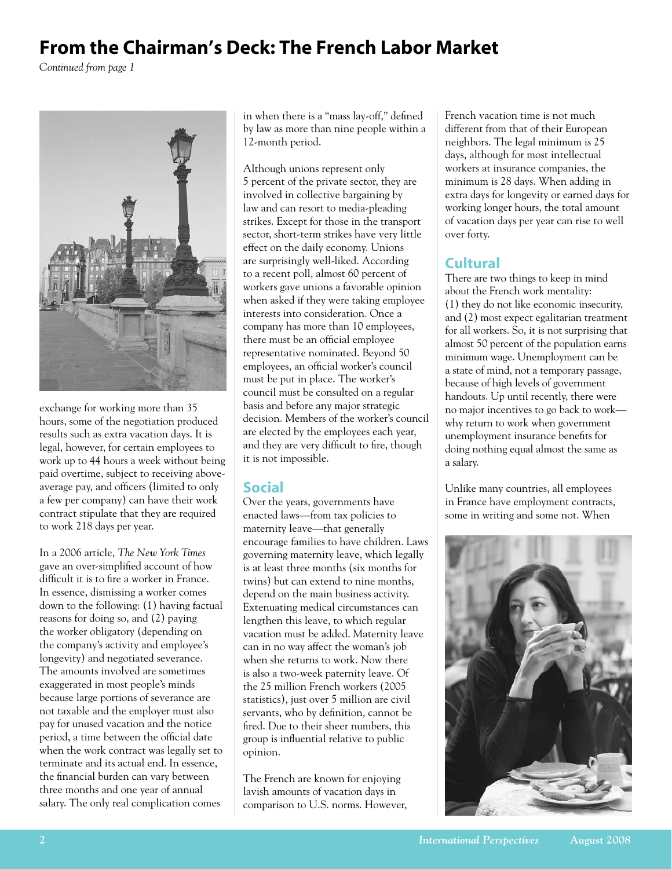# **From the Chairman's Deck: The French Labor Market**

*Continued from page 1*



exchange for working more than 35 hours, some of the negotiation produced results such as extra vacation days. It is legal, however, for certain employees to work up to 44 hours a week without being paid overtime, subject to receiving aboveaverage pay, and officers (limited to only a few per company) can have their work contract stipulate that they are required to work 218 days per year.

In a 2006 article, *The New York Times* gave an over-simplified account of how difficult it is to fire a worker in France. In essence, dismissing a worker comes down to the following: (1) having factual reasons for doing so, and (2) paying the worker obligatory (depending on the company's activity and employee's longevity) and negotiated severance. The amounts involved are sometimes exaggerated in most people's minds because large portions of severance are not taxable and the employer must also pay for unused vacation and the notice period, a time between the official date when the work contract was legally set to terminate and its actual end. In essence, the financial burden can vary between three months and one year of annual salary. The only real complication comes

in when there is a "mass lay-off," defined by law as more than nine people within a 12-month period.

Although unions represent only 5 percent of the private sector, they are involved in collective bargaining by law and can resort to media-pleading strikes. Except for those in the transport sector, short-term strikes have very little effect on the daily economy. Unions are surprisingly well-liked. According to a recent poll, almost 60 percent of workers gave unions a favorable opinion when asked if they were taking employee interests into consideration. Once a company has more than 10 employees, there must be an official employee representative nominated. Beyond 50 employees, an official worker's council must be put in place. The worker's council must be consulted on a regular basis and before any major strategic decision. Members of the worker's council are elected by the employees each year, and they are very difficult to fire, though it is not impossible.

## **Social**

Over the years, governments have enacted laws—from tax policies to maternity leave—that generally encourage families to have children. Laws governing maternity leave, which legally is at least three months (six months for twins) but can extend to nine months, depend on the main business activity. Extenuating medical circumstances can lengthen this leave, to which regular vacation must be added. Maternity leave can in no way affect the woman's job when she returns to work. Now there is also a two-week paternity leave. Of the 25 million French workers (2005 statistics), just over 5 million are civil servants, who by definition, cannot be fired. Due to their sheer numbers, this group is influential relative to public opinion.

The French are known for enjoying lavish amounts of vacation days in comparison to U.S. norms. However, French vacation time is not much different from that of their European neighbors. The legal minimum is 25 days, although for most intellectual workers at insurance companies, the minimum is 28 days. When adding in extra days for longevity or earned days for working longer hours, the total amount of vacation days per year can rise to well over forty.

## **Cultural**

There are two things to keep in mind about the French work mentality: (1) they do not like economic insecurity, and (2) most expect egalitarian treatment for all workers. So, it is not surprising that almost 50 percent of the population earns minimum wage. Unemployment can be a state of mind, not a temporary passage, because of high levels of government handouts. Up until recently, there were no major incentives to go back to work why return to work when government unemployment insurance benefits for doing nothing equal almost the same as a salary.

Unlike many countries, all employees in France have employment contracts, some in writing and some not. When

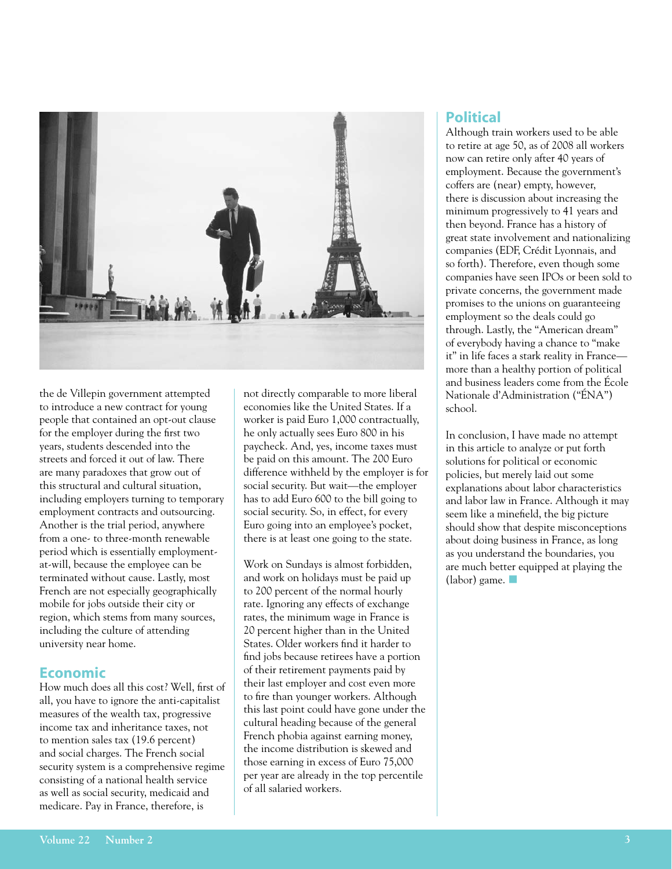

the de Villepin government attempted to introduce a new contract for young people that contained an opt-out clause for the employer during the first two years, students descended into the streets and forced it out of law. There are many paradoxes that grow out of this structural and cultural situation, including employers turning to temporary employment contracts and outsourcing. Another is the trial period, anywhere from a one- to three-month renewable period which is essentially employmentat-will, because the employee can be terminated without cause. Lastly, most French are not especially geographically mobile for jobs outside their city or region, which stems from many sources, including the culture of attending university near home.

#### **Economic**

How much does all this cost? Well, first of all, you have to ignore the anti-capitalist measures of the wealth tax, progressive income tax and inheritance taxes, not to mention sales tax (19.6 percent) and social charges. The French social security system is a comprehensive regime consisting of a national health service as well as social security, medicaid and medicare. Pay in France, therefore, is

not directly comparable to more liberal economies like the United States. If a worker is paid Euro 1,000 contractually, he only actually sees Euro 800 in his paycheck. And, yes, income taxes must be paid on this amount. The 200 Euro difference withheld by the employer is for social security. But wait—the employer has to add Euro 600 to the bill going to social security. So, in effect, for every Euro going into an employee's pocket, there is at least one going to the state.

Work on Sundays is almost forbidden. and work on holidays must be paid up to 200 percent of the normal hourly rate. Ignoring any effects of exchange rates, the minimum wage in France is 20 percent higher than in the United States. Older workers find it harder to find jobs because retirees have a portion of their retirement payments paid by their last employer and cost even more to fire than younger workers. Although this last point could have gone under the cultural heading because of the general French phobia against earning money, the income distribution is skewed and those earning in excess of Euro 75,000 per year are already in the top percentile of all salaried workers.

#### **Political**

Although train workers used to be able to retire at age 50, as of 2008 all workers now can retire only after 40 years of employment. Because the government's coffers are (near) empty, however, there is discussion about increasing the minimum progressively to 41 years and then beyond. France has a history of great state involvement and nationalizing companies (EDF, Crédit Lyonnais, and so forth). Therefore, even though some companies have seen IPOs or been sold to private concerns, the government made promises to the unions on guaranteeing employment so the deals could go through. Lastly, the "American dream" of everybody having a chance to "make it" in life faces a stark reality in France more than a healthy portion of political and business leaders come from the École Nationale d'Administration ("ÉNA") school.

In conclusion, I have made no attempt in this article to analyze or put forth solutions for political or economic policies, but merely laid out some explanations about labor characteristics and labor law in France. Although it may seem like a minefield, the big picture should show that despite misconceptions about doing business in France, as long as you understand the boundaries, you are much better equipped at playing the  $(labor)$  game.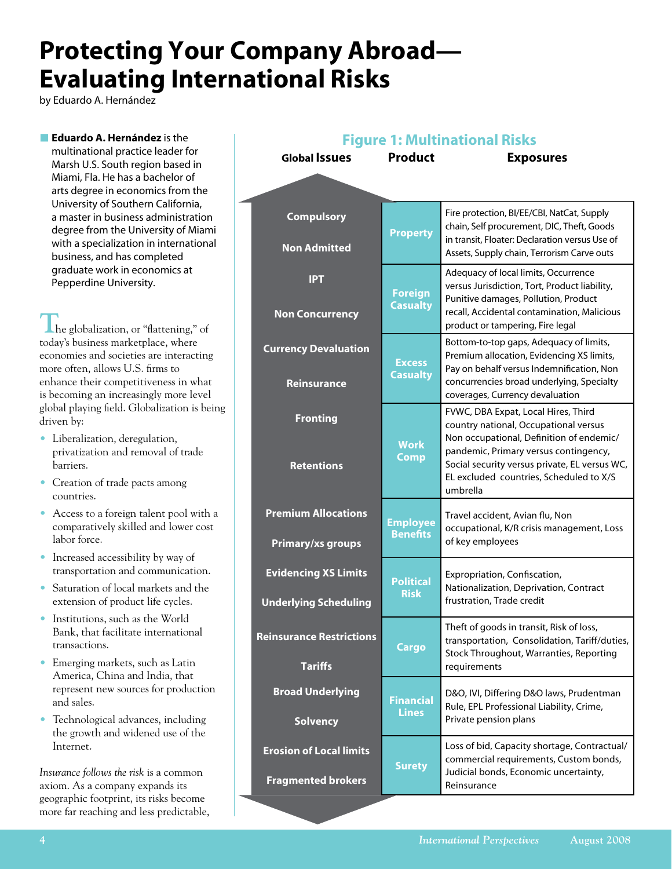# **Protecting Your Company Abroad— Evaluating International Risks**

J.

by Eduardo A. Hernández

**Eduardo A. Hernández** is the multinational practice leader for Marsh U.S. South region based in Miami, Fla. He has a bachelor of arts degree in economics from the University of Southern California, a master in business administration degree from the University of Miami with a specialization in international business, and has completed graduate work in economics at Pepperdine University.

**The globalization, or "flattening," of** today's business marketplace, where economies and societies are interacting more often, allows U.S. firms to enhance their competitiveness in what is becoming an increasingly more level global playing field. Globalization is being driven by:

- • Liberalization, deregulation, privatization and removal of trade barriers.
- Creation of trade pacts among countries.
- Access to a foreign talent pool with a comparatively skilled and lower cost labor force.
- Increased accessibility by way of transportation and communication.
- Saturation of local markets and the extension of product life cycles.
- Institutions, such as the World Bank, that facilitate international transactions.
- Emerging markets, such as Latin America, China and India, that represent new sources for production and sales.
- Technological advances, including the growth and widened use of the Internet.

*Insurance follows the risk* is a common axiom. As a company expands its geographic footprint, its risks become more far reaching and less predictable,

| <b>Figure 1: Multinational Risks</b>                        |                                    |                                                                                                                                                                                                                                                               |  |
|-------------------------------------------------------------|------------------------------------|---------------------------------------------------------------------------------------------------------------------------------------------------------------------------------------------------------------------------------------------------------------|--|
| <b>Global Issues</b>                                        | <b>Product</b>                     | <b>Exposures</b>                                                                                                                                                                                                                                              |  |
|                                                             |                                    |                                                                                                                                                                                                                                                               |  |
|                                                             |                                    |                                                                                                                                                                                                                                                               |  |
| <b>Compulsory</b><br><b>Non Admitted</b>                    | <b>Property</b>                    | Fire protection, BI/EE/CBI, NatCat, Supply<br>chain, Self procurement, DIC, Theft, Goods<br>in transit, Floater: Declaration versus Use of<br>Assets, Supply chain, Terrorism Carve outs                                                                      |  |
| <b>IPT</b><br><b>Non Concurrency</b>                        | <b>Foreign</b><br><b>Casualty</b>  | Adequacy of local limits, Occurrence<br>versus Jurisdiction, Tort, Product liability,<br>Punitive damages, Pollution, Product<br>recall, Accidental contamination, Malicious<br>product or tampering, Fire legal                                              |  |
| <b>Currency Devaluation</b><br><b>Reinsurance</b>           | <b>Excess</b><br><b>Casualty</b>   | Bottom-to-top gaps, Adequacy of limits,<br>Premium allocation, Evidencing XS limits,<br>Pay on behalf versus Indemnification, Non<br>concurrencies broad underlying, Specialty<br>coverages, Currency devaluation                                             |  |
| <b>Fronting</b><br><b>Retentions</b>                        | <b>Work</b><br><b>Comp</b>         | FVWC, DBA Expat, Local Hires, Third<br>country national, Occupational versus<br>Non occupational, Definition of endemic/<br>pandemic, Primary versus contingency,<br>Social security versus private, EL versus WC,<br>EL excluded countries, Scheduled to X/S |  |
|                                                             |                                    | umbrella                                                                                                                                                                                                                                                      |  |
| <b>Premium Allocations</b><br><b>Primary/xs groups</b>      | <b>Employee</b><br><b>Benefits</b> | Travel accident, Avian flu, Non<br>occupational, K/R crisis management, Loss<br>of key employees                                                                                                                                                              |  |
| <b>Evidencing XS Limits</b><br><b>Underlying Scheduling</b> | <b>Political</b><br><b>Risk</b>    | Expropriation, Confiscation,<br>Nationalization, Deprivation, Contract<br>frustration, Trade credit                                                                                                                                                           |  |
| <b>Reinsurance Restrictions</b><br><b>Tariffs</b>           | <b>Cargo</b>                       | Theft of goods in transit, Risk of loss,<br>transportation, Consolidation, Tariff/duties,<br>Stock Throughout, Warranties, Reporting<br>requirements                                                                                                          |  |
| <b>Broad Underlying</b><br><b>Solvency</b>                  | <b>Financial</b><br><b>Lines</b>   | D&O, IVI, Differing D&O laws, Prudentman<br>Rule, EPL Professional Liability, Crime,<br>Private pension plans                                                                                                                                                 |  |
| <b>Erosion of Local limits</b>                              | <b>Surety</b>                      | Loss of bid, Capacity shortage, Contractual/<br>commercial requirements, Custom bonds,<br>Judicial bonds, Economic uncertainty,                                                                                                                               |  |
| <b>Fragmented brokers</b>                                   |                                    | Reinsurance                                                                                                                                                                                                                                                   |  |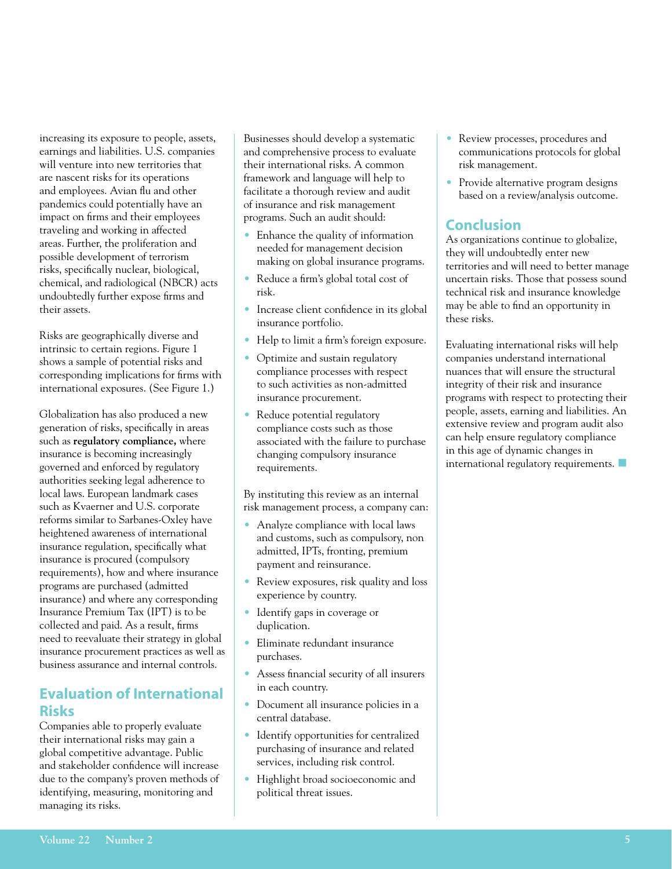increasing its exposure to people, assets, earnings and liabilities. U.S. companies will venture into new territories that are nascent risks for its operations and employees. Avian flu and other pandemics could potentially have an impact on firms and their employees traveling and working in affected areas. Further, the proliferation and possible development of terrorism risks, specifically nuclear, biological, chemical, and radiological (NBCR) acts undoubtedly further expose firms and their assets.

Risks are geographically diverse and intrinsic to certain regions. Figure 1 shows a sample of potential risks and corresponding implications for firms with international exposures. (See Figure 1.)

Globalization has also produced a new generation of risks, specifically in areas such as **regulatory compliance,** where insurance is becoming increasingly governed and enforced by regulatory authorities seeking legal adherence to local laws. European landmark cases such as Kvaerner and U.S. corporate reforms similar to Sarbanes-Oxley have heightened awareness of international insurance regulation, specifically what insurance is procured (compulsory requirements), how and where insurance programs are purchased (admitted insurance) and where any corresponding Insurance Premium Tax (IPT) is to be collected and paid. As a result, firms need to reevaluate their strategy in global insurance procurement practices as well as business assurance and internal controls.

## **Evaluation of International Risks**

Companies able to properly evaluate their international risks may gain a global competitive advantage. Public and stakeholder confidence will increase due to the company's proven methods of identifying, measuring, monitoring and managing its risks.

Businesses should develop a systematic and comprehensive process to evaluate their international risks. A common framework and language will help to facilitate a thorough review and audit of insurance and risk management programs. Such an audit should:

- Enhance the quality of information needed for management decision making on global insurance programs.
- Reduce a firm's global total cost of risk.
- Increase client confidence in its global insurance portfolio.
- Help to limit a firm's foreign exposure.
- Optimize and sustain regulatory compliance processes with respect to such activities as non-admitted insurance procurement.
- Reduce potential regulatory compliance costs such as those associated with the failure to purchase changing compulsory insurance requirements.

By instituting this review as an internal risk management process, a company can:

- Analyze compliance with local laws and customs, such as compulsory, non admitted, IPTs, fronting, premium payment and reinsurance.
- Review exposures, risk quality and loss experience by country.
- Identify gaps in coverage or duplication.
- Eliminate redundant insurance purchases.
- Assess financial security of all insurers in each country.
- Document all insurance policies in a central database.
- Identify opportunities for centralized purchasing of insurance and related services, including risk control.
- Highlight broad socioeconomic and political threat issues.
- Review processes, procedures and communications protocols for global risk management.
- Provide alternative program designs based on a review/analysis outcome.

## **Conclusion**

As organizations continue to globalize, they will undoubtedly enter new territories and will need to better manage uncertain risks. Those that possess sound technical risk and insurance knowledge may be able to find an opportunity in these risks.

Evaluating international risks will help companies understand international nuances that will ensure the structural integrity of their risk and insurance programs with respect to protecting their people, assets, earning and liabilities. An extensive review and program audit also can help ensure regulatory compliance in this age of dynamic changes in international regulatory requirements.  $\Box$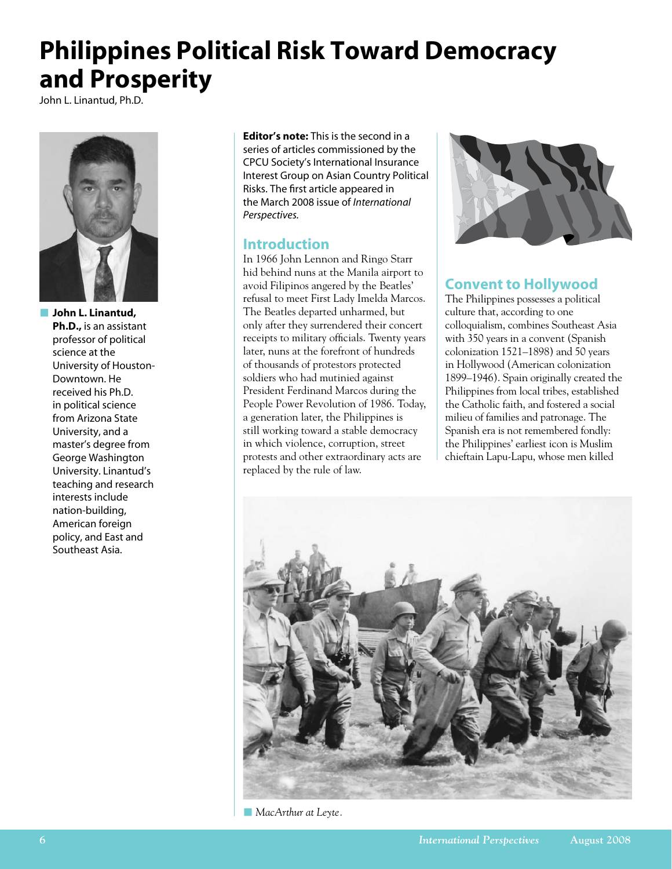# **Philippines Political Risk Toward Democracy and Prosperity**

John L. Linantud, Ph.D.



**n** John L. Linantud, **Ph.D.,** is an assistant professor of political science at the University of Houston-Downtown. He received his Ph.D. in political science from Arizona State University, and a master's degree from George Washington University. Linantud's teaching and research interests include nation-building, American foreign policy, and East and Southeast Asia.

**Editor's note:** This is the second in a series of articles commissioned by the CPCU Society's International Insurance Interest Group on Asian Country Political Risks. The first article appeared in the March 2008 issue of *International Perspectives.*

### **Introduction**

In 1966 John Lennon and Ringo Starr hid behind nuns at the Manila airport to avoid Filipinos angered by the Beatles' refusal to meet First Lady Imelda Marcos. The Beatles departed unharmed, but only after they surrendered their concert receipts to military officials. Twenty years later, nuns at the forefront of hundreds of thousands of protestors protected soldiers who had mutinied against President Ferdinand Marcos during the People Power Revolution of 1986. Today, a generation later, the Philippines is still working toward a stable democracy in which violence, corruption, street protests and other extraordinary acts are replaced by the rule of law.



## **Convent to Hollywood**

The Philippines possesses a political culture that, according to one colloquialism, combines Southeast Asia with 350 years in a convent (Spanish colonization 1521–1898) and 50 years in Hollywood (American colonization 1899–1946). Spain originally created the Philippines from local tribes, established the Catholic faith, and fostered a social milieu of families and patronage. The Spanish era is not remembered fondly: the Philippines' earliest icon is Muslim chieftain Lapu-Lapu, whose men killed



**NacArthur at Leyte.**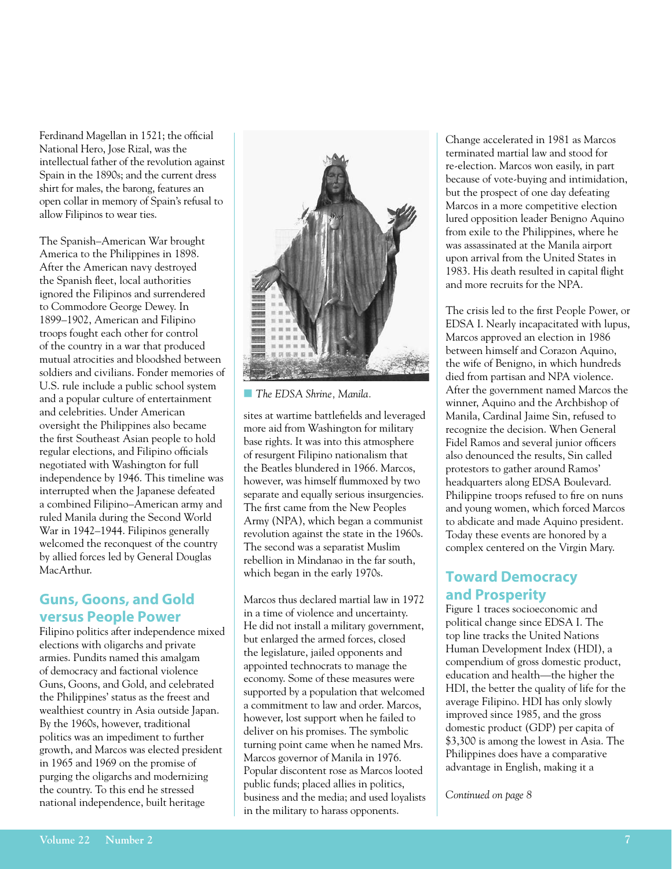Ferdinand Magellan in 1521; the official National Hero, Jose Rizal, was the intellectual father of the revolution against Spain in the 1890s; and the current dress shirt for males, the barong, features an open collar in memory of Spain's refusal to allow Filipinos to wear ties.

The Spanish–American War brought America to the Philippines in 1898. After the American navy destroyed the Spanish fleet, local authorities ignored the Filipinos and surrendered to Commodore George Dewey. In 1899–1902, American and Filipino troops fought each other for control of the country in a war that produced mutual atrocities and bloodshed between soldiers and civilians. Fonder memories of U.S. rule include a public school system and a popular culture of entertainment and celebrities. Under American oversight the Philippines also became the first Southeast Asian people to hold regular elections, and Filipino officials negotiated with Washington for full independence by 1946. This timeline was interrupted when the Japanese defeated a combined Filipino–American army and ruled Manila during the Second World War in 1942–1944. Filipinos generally welcomed the reconquest of the country by allied forces led by General Douglas MacArthur.

### **Guns, Goons, and Gold versus People Power**

Filipino politics after independence mixed elections with oligarchs and private armies. Pundits named this amalgam of democracy and factional violence Guns, Goons, and Gold, and celebrated the Philippines' status as the freest and wealthiest country in Asia outside Japan. By the 1960s, however, traditional politics was an impediment to further growth, and Marcos was elected president in 1965 and 1969 on the promise of purging the oligarchs and modernizing the country. To this end he stressed national independence, built heritage



**n** The EDSA Shrine, Manila.

sites at wartime battlefields and leveraged more aid from Washington for military base rights. It was into this atmosphere of resurgent Filipino nationalism that the Beatles blundered in 1966. Marcos, however, was himself flummoxed by two separate and equally serious insurgencies. The first came from the New Peoples Army (NPA), which began a communist revolution against the state in the 1960s. The second was a separatist Muslim rebellion in Mindanao in the far south, which began in the early 1970s.

Marcos thus declared martial law in 1972 in a time of violence and uncertainty. He did not install a military government, but enlarged the armed forces, closed the legislature, jailed opponents and appointed technocrats to manage the economy. Some of these measures were supported by a population that welcomed a commitment to law and order. Marcos, however, lost support when he failed to deliver on his promises. The symbolic turning point came when he named Mrs. Marcos governor of Manila in 1976. Popular discontent rose as Marcos looted public funds; placed allies in politics, business and the media; and used loyalists in the military to harass opponents.

Change accelerated in 1981 as Marcos terminated martial law and stood for re-election. Marcos won easily, in part because of vote-buying and intimidation, but the prospect of one day defeating Marcos in a more competitive election lured opposition leader Benigno Aquino from exile to the Philippines, where he was assassinated at the Manila airport upon arrival from the United States in 1983. His death resulted in capital flight and more recruits for the NPA.

The crisis led to the first People Power, or EDSA I. Nearly incapacitated with lupus, Marcos approved an election in 1986 between himself and Corazon Aquino, the wife of Benigno, in which hundreds died from partisan and NPA violence. After the government named Marcos the winner, Aquino and the Archbishop of Manila, Cardinal Jaime Sin, refused to recognize the decision. When General Fidel Ramos and several junior officers also denounced the results, Sin called protestors to gather around Ramos' headquarters along EDSA Boulevard. Philippine troops refused to fire on nuns and young women, which forced Marcos to abdicate and made Aquino president. Today these events are honored by a complex centered on the Virgin Mary.

## **Toward Democracy and Prosperity**

Figure 1 traces socioeconomic and political change since EDSA I. The top line tracks the United Nations Human Development Index (HDI), a compendium of gross domestic product, education and health—the higher the HDI, the better the quality of life for the average Filipino. HDI has only slowly improved since 1985, and the gross domestic product (GDP) per capita of \$3,300 is among the lowest in Asia. The Philippines does have a comparative advantage in English, making it a

*Continued on page 8*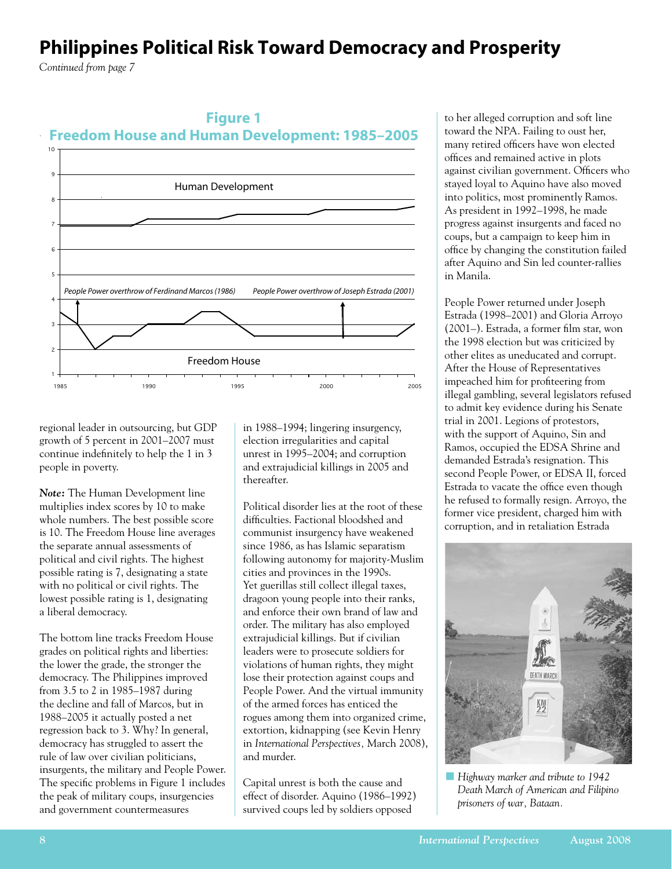# **Philippines Political Risk Toward Democracy and Prosperity**

*Continued from page 7*





regional leader in outsourcing, but GDP growth of 5 percent in 2001–2007 must continue indefinitely to help the 1 in 3 people in poverty.

*Note:* The Human Development line multiplies index scores by 10 to make whole numbers. The best possible score is 10. The Freedom House line averages the separate annual assessments of political and civil rights. The highest possible rating is 7, designating a state with no political or civil rights. The lowest possible rating is 1, designating a liberal democracy.

The bottom line tracks Freedom House grades on political rights and liberties: the lower the grade, the stronger the democracy. The Philippines improved from 3.5 to 2 in 1985–1987 during the decline and fall of Marcos, but in 1988–2005 it actually posted a net regression back to 3. Why? In general, democracy has struggled to assert the rule of law over civilian politicians, insurgents, the military and People Power. The specific problems in Figure 1 includes the peak of military coups, insurgencies and government countermeasures

in 1988–1994; lingering insurgency, election irregularities and capital unrest in 1995–2004; and corruption and extrajudicial killings in 2005 and thereafter.

Political disorder lies at the root of these difficulties. Factional bloodshed and communist insurgency have weakened since 1986, as has Islamic separatism following autonomy for majority-Muslim cities and provinces in the 1990s. Yet guerillas still collect illegal taxes, dragoon young people into their ranks, and enforce their own brand of law and order. The military has also employed extrajudicial killings. But if civilian leaders were to prosecute soldiers for violations of human rights, they might lose their protection against coups and People Power. And the virtual immunity of the armed forces has enticed the rogues among them into organized crime, extortion, kidnapping (see Kevin Henry in *International Perspectives,* March 2008), and murder.

Capital unrest is both the cause and effect of disorder. Aquino (1986–1992) survived coups led by soldiers opposed

to her alleged corruption and soft line toward the NPA. Failing to oust her, many retired officers have won elected offices and remained active in plots against civilian government. Officers who stayed loyal to Aquino have also moved into politics, most prominently Ramos. As president in 1992–1998, he made progress against insurgents and faced no coups, but a campaign to keep him in office by changing the constitution failed after Aquino and Sin led counter-rallies in Manila.

People Power returned under Joseph Estrada (1998–2001) and Gloria Arroyo (2001–). Estrada, a former film star, won the 1998 election but was criticized by other elites as uneducated and corrupt. After the House of Representatives impeached him for profiteering from illegal gambling, several legislators refused to admit key evidence during his Senate trial in 2001. Legions of protestors, with the support of Aquino, Sin and Ramos, occupied the EDSA Shrine and demanded Estrada's resignation. This second People Power, or EDSA II, forced Estrada to vacate the office even though he refused to formally resign. Arroyo, the former vice president, charged him with corruption, and in retaliation Estrada



*Highway marker and tribute to 1942 Death March of American and Filipino prisoners of war, Bataan.*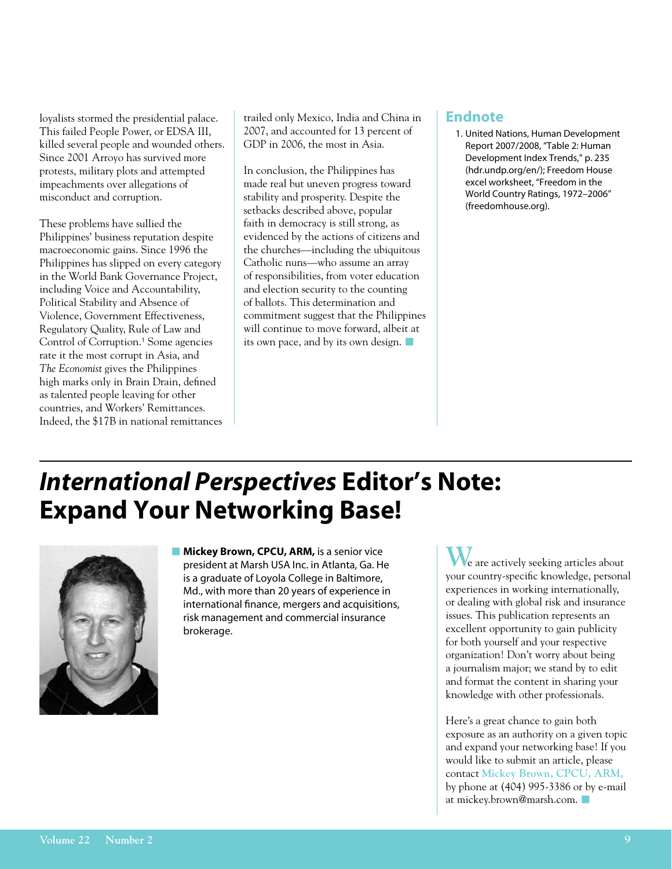loyalists stormed the presidential palace. This failed People Power, or EDSA III, killed several people and wounded others. Since 2001 Arroyo has survived more protests, military plots and attempted impeachments over allegations of misconduct and corruption.

These problems have sullied the Philippines' business reputation despite macroeconomic gains. Since 1996 the Philippines has slipped on every category in the World Bank Governance Project, including Voice and Accountability, Political Stability and Absence of Violence, Government Effectiveness, Regulatory Quality, Rule of Law and Control of Corruption.<sup>1</sup> Some agencies rate it the most corrupt in Asia, and *The Economist* gives the Philippines high marks only in Brain Drain, defined as talented people leaving for other countries, and Workers' Remittances. Indeed, the \$17B in national remittances trailed only Mexico, India and China in 2007, and accounted for 13 percent of GDP in 2006, the most in Asia.

In conclusion, the Philippines has made real but uneven progress toward stability and prosperity. Despite the setbacks described above, popular faith in democracy is still strong, as evidenced by the actions of citizens and the churches—including the ubiquitous Catholic nuns—who assume an array of responsibilities, from voter education and election security to the counting of ballots. This determination and commitment suggest that the Philippines will continue to move forward, albeit at its own pace, and by its own design.  $\blacksquare$ 

#### **Endnote**

1. United Nations, Human Development Report 2007/2008, "Table 2: Human Development Index Trends," p. 235 (hdr.undp.org/en/); Freedom House excel worksheet, "Freedom in the World Country Ratings, 1972–2006" (freedomhouse.org).

# *International Perspectives* **Editor's Note: Expand Your Networking Base!**



**n Mickey Brown, CPCU, ARM, is a senior vice** president at Marsh USA Inc. in Atlanta, Ga. He is a graduate of Loyola College in Baltimore, Md., with more than 20 years of experience in international finance, mergers and acquisitions, risk management and commercial insurance brokerage.

**W**e are actively seeking articles about your country-specific knowledge, personal experiences in working internationally, or dealing with global risk and insurance issues. This publication represents an excellent opportunity to gain publicity for both yourself and your respective organization! Don't worry about being a journalism major; we stand by to edit and format the content in sharing your knowledge with other professionals.

Here's a great chance to gain both exposure as an authority on a given topic and expand your networking base! If you would like to submit an article, please contact **Mickey Brown, CPCU, ARM,** by phone at (404) 995-3386 or by e-mail at mickey.brown@marsh.com.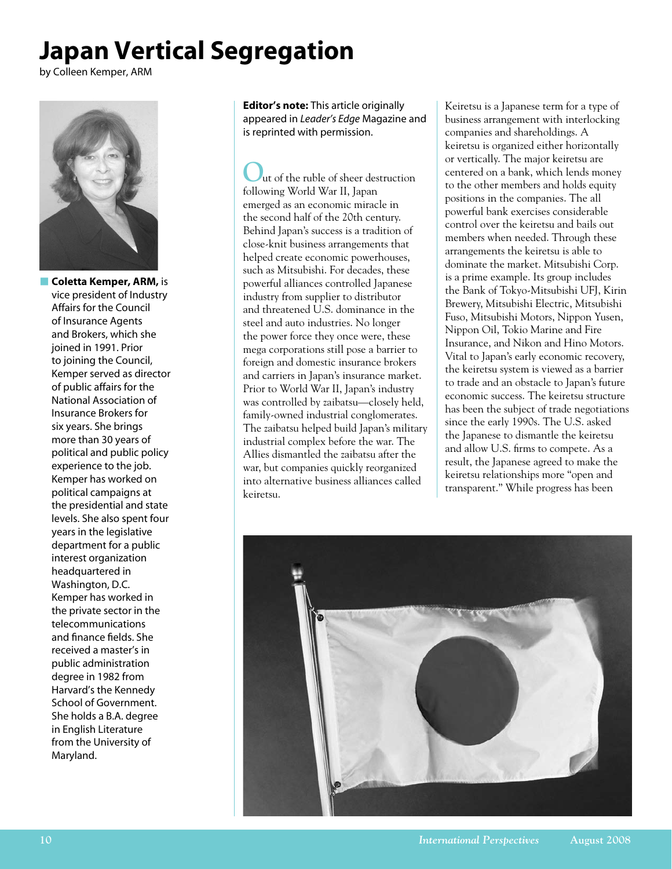# **Japan Vertical Segregation**

by Colleen Kemper, ARM



**n Coletta Kemper, ARM, is** vice president of Industry Affairs for the Council of Insurance Agents and Brokers, which she joined in 1991. Prior to joining the Council, Kemper served as director of public affairs for the National Association of Insurance Brokers for six years. She brings more than 30 years of political and public policy experience to the job. Kemper has worked on political campaigns at the presidential and state levels. She also spent four years in the legislative department for a public interest organization headquartered in Washington, D.C. Kemper has worked in the private sector in the telecommunications and finance fields. She received a master's in public administration degree in 1982 from Harvard's the Kennedy School of Government. She holds a B.A. degree in English Literature from the University of Maryland.

**Editor's note:** This article originally appeared in *Leader's Edge* Magazine and is reprinted with permission.

**O**ut of the ruble of sheer destruction following World War II, Japan emerged as an economic miracle in the second half of the 20th century. Behind Japan's success is a tradition of close-knit business arrangements that helped create economic powerhouses, such as Mitsubishi. For decades, these powerful alliances controlled Japanese industry from supplier to distributor and threatened U.S. dominance in the steel and auto industries. No longer the power force they once were, these mega corporations still pose a barrier to foreign and domestic insurance brokers and carriers in Japan's insurance market. Prior to World War II, Japan's industry was controlled by zaibatsu—closely held, family-owned industrial conglomerates. The zaibatsu helped build Japan's military industrial complex before the war. The Allies dismantled the zaibatsu after the war, but companies quickly reorganized into alternative business alliances called keiretsu.

Keiretsu is a Japanese term for a type of business arrangement with interlocking companies and shareholdings. A keiretsu is organized either horizontally or vertically. The major keiretsu are centered on a bank, which lends money to the other members and holds equity positions in the companies. The all powerful bank exercises considerable control over the keiretsu and bails out members when needed. Through these arrangements the keiretsu is able to dominate the market. Mitsubishi Corp. is a prime example. Its group includes the Bank of Tokyo-Mitsubishi UFJ, Kirin Brewery, Mitsubishi Electric, Mitsubishi Fuso, Mitsubishi Motors, Nippon Yusen, Nippon Oil, Tokio Marine and Fire Insurance, and Nikon and Hino Motors. Vital to Japan's early economic recovery, the keiretsu system is viewed as a barrier to trade and an obstacle to Japan's future economic success. The keiretsu structure has been the subject of trade negotiations since the early 1990s. The U.S. asked the Japanese to dismantle the keiretsu and allow U.S. firms to compete. As a result, the Japanese agreed to make the keiretsu relationships more "open and transparent." While progress has been

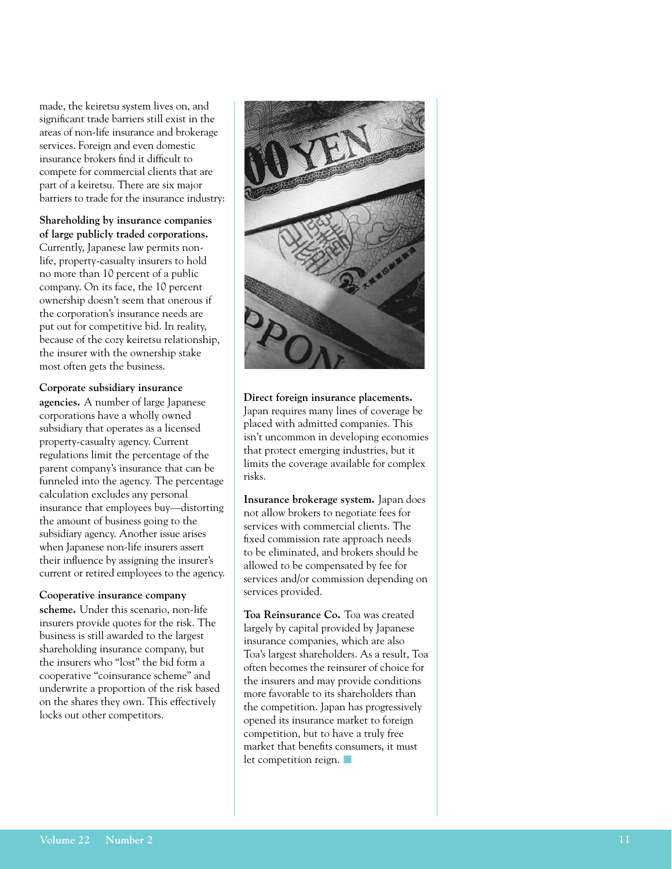made, the keiretsu system lives on, and significant trade barriers still exist in the areas of non-life insurance and brokerage services. Foreign and even domestic insurance brokers find it difficult to compete for commercial clients that are part of a keiretsu. There are six major barriers to trade for the insurance industry:

**Shareholding by insurance companies of large publicly traded corporations.**  Currently, Japanese law permits nonlife, property-casualty insurers to hold no more than 10 percent of a public company. On its face, the 10 percent ownership doesn't seem that onerous if the corporation's insurance needs are put out for competitive bid. In reality, because of the cozy keiretsu relationship, the insurer with the ownership stake most often gets the business.

**Corporate subsidiary insurance agencies.** A number of large Japanese corporations have a wholly owned subsidiary that operates as a licensed property-casualty agency. Current regulations limit the percentage of the parent company's insurance that can be funneled into the agency. The percentage calculation excludes any personal insurance that employees buy—distorting the amount of business going to the subsidiary agency. Another issue arises when Japanese non-life insurers assert their influence by assigning the insurer's current or retired employees to the agency.

**Cooperative insurance company scheme.** Under this scenario, non-life insurers provide quotes for the risk. The business is still awarded to the largest shareholding insurance company, but the insurers who "lost" the bid form a cooperative "coinsurance scheme" and underwrite a proportion of the risk based on the shares they own. This effectively locks out other competitors.



**Direct foreign insurance placements.** Japan requires many lines of coverage be placed with admitted companies. This isn't uncommon in developing economies that protect emerging industries, but it limits the coverage available for complex risks.

**Insurance brokerage system.** Japan does not allow brokers to negotiate fees for services with commercial clients. The fixed commission rate approach needs to be eliminated, and brokers should be allowed to be compensated by fee for services and/or commission depending on services provided.

**Toa Reinsurance Co.** Toa was created largely by capital provided by Japanese insurance companies, which are also Toa's largest shareholders. As a result, Toa often becomes the reinsurer of choice for the insurers and may provide conditions more favorable to its shareholders than the competition. Japan has progressively opened its insurance market to foreign competition, but to have a truly free market that benefits consumers, it must let competition reign.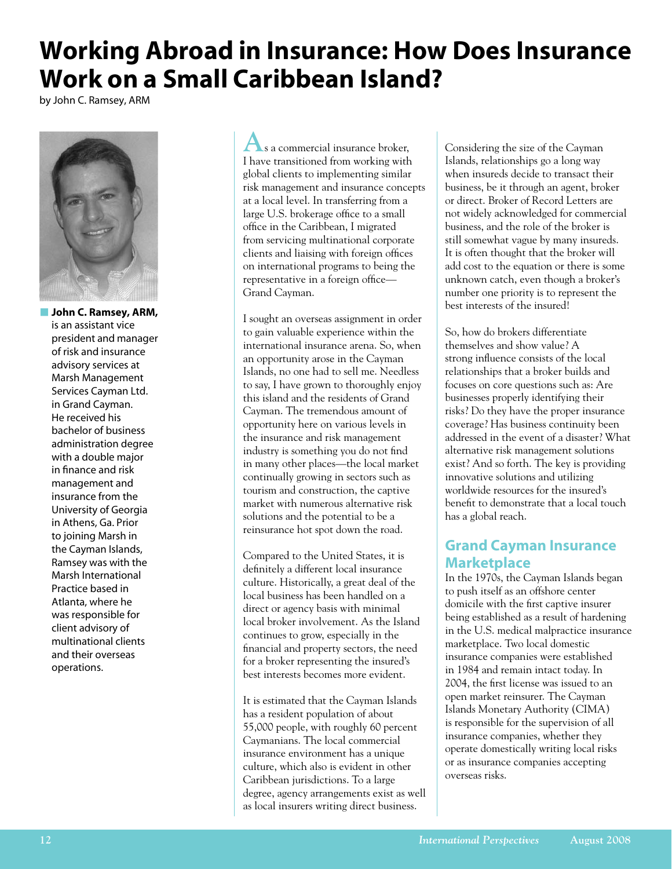# **Working Abroad in Insurance: How Does Insurance Work on a Small Caribbean Island?**

by John C. Ramsey, ARM



**N** John C. Ramsey, ARM, is an assistant vice president and manager of risk and insurance advisory services at Marsh Management Services Cayman Ltd. in Grand Cayman. He received his bachelor of business administration degree with a double major in finance and risk management and insurance from the University of Georgia in Athens, Ga. Prior to joining Marsh in the Cayman Islands, Ramsey was with the Marsh International Practice based in Atlanta, where he was responsible for client advisory of multinational clients and their overseas operations.

**A**s a commercial insurance broker, I have transitioned from working with global clients to implementing similar risk management and insurance concepts at a local level. In transferring from a large U.S. brokerage office to a small office in the Caribbean, I migrated from servicing multinational corporate clients and liaising with foreign offices on international programs to being the representative in a foreign office— Grand Cayman.

I sought an overseas assignment in order to gain valuable experience within the international insurance arena. So, when an opportunity arose in the Cayman Islands, no one had to sell me. Needless to say, I have grown to thoroughly enjoy this island and the residents of Grand Cayman. The tremendous amount of opportunity here on various levels in the insurance and risk management industry is something you do not find in many other places—the local market continually growing in sectors such as tourism and construction, the captive market with numerous alternative risk solutions and the potential to be a reinsurance hot spot down the road.

Compared to the United States, it is definitely a different local insurance culture. Historically, a great deal of the local business has been handled on a direct or agency basis with minimal local broker involvement. As the Island continues to grow, especially in the financial and property sectors, the need for a broker representing the insured's best interests becomes more evident.

It is estimated that the Cayman Islands has a resident population of about 55,000 people, with roughly 60 percent Caymanians. The local commercial insurance environment has a unique culture, which also is evident in other Caribbean jurisdictions. To a large degree, agency arrangements exist as well as local insurers writing direct business.

Considering the size of the Cayman Islands, relationships go a long way when insureds decide to transact their business, be it through an agent, broker or direct. Broker of Record Letters are not widely acknowledged for commercial business, and the role of the broker is still somewhat vague by many insureds. It is often thought that the broker will add cost to the equation or there is some unknown catch, even though a broker's number one priority is to represent the best interests of the insured!

So, how do brokers differentiate themselves and show value? A strong influence consists of the local relationships that a broker builds and focuses on core questions such as: Are businesses properly identifying their risks? Do they have the proper insurance coverage? Has business continuity been addressed in the event of a disaster? What alternative risk management solutions exist? And so forth. The key is providing innovative solutions and utilizing worldwide resources for the insured's benefit to demonstrate that a local touch has a global reach.

## **Grand Cayman Insurance Marketplace**

In the 1970s, the Cayman Islands began to push itself as an offshore center domicile with the first captive insurer being established as a result of hardening in the U.S. medical malpractice insurance marketplace. Two local domestic insurance companies were established in 1984 and remain intact today. In 2004, the first license was issued to an open market reinsurer. The Cayman Islands Monetary Authority (CIMA) is responsible for the supervision of all insurance companies, whether they operate domestically writing local risks or as insurance companies accepting overseas risks.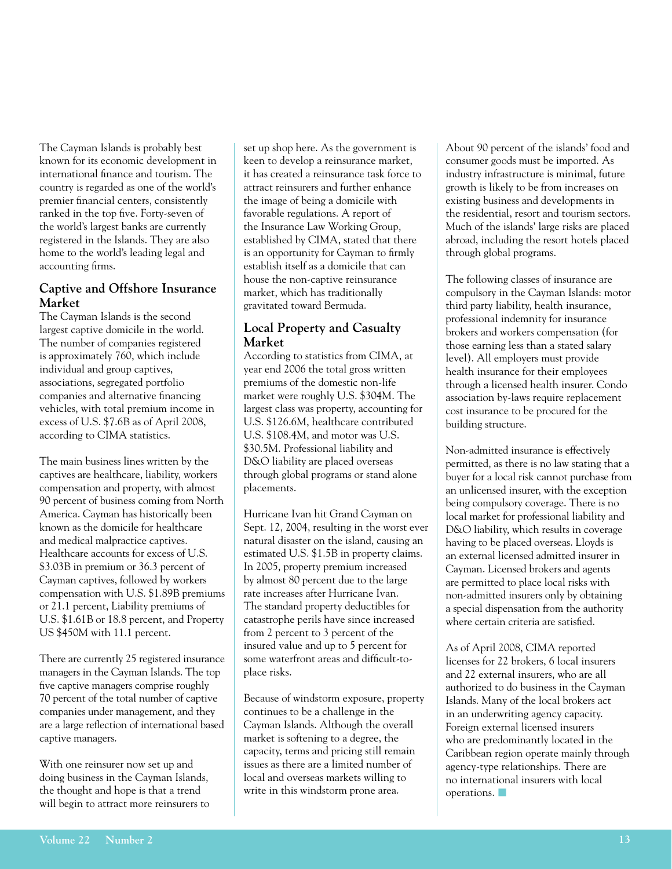The Cayman Islands is probably best known for its economic development in international finance and tourism. The country is regarded as one of the world's premier financial centers, consistently ranked in the top five. Forty-seven of the world's largest banks are currently registered in the Islands. They are also home to the world's leading legal and accounting firms.

#### **Captive and Offshore Insurance Market**

The Cayman Islands is the second largest captive domicile in the world. The number of companies registered is approximately 760, which include individual and group captives, associations, segregated portfolio companies and alternative financing vehicles, with total premium income in excess of U.S. \$7.6B as of April 2008, according to CIMA statistics.

The main business lines written by the captives are healthcare, liability, workers compensation and property, with almost 90 percent of business coming from North America. Cayman has historically been known as the domicile for healthcare and medical malpractice captives. Healthcare accounts for excess of U.S. \$3.03B in premium or 36.3 percent of Cayman captives, followed by workers compensation with U.S. \$1.89B premiums or 21.1 percent, Liability premiums of U.S. \$1.61B or 18.8 percent, and Property US \$450M with 11.1 percent.

There are currently 25 registered insurance managers in the Cayman Islands. The top five captive managers comprise roughly 70 percent of the total number of captive companies under management, and they are a large reflection of international based captive managers.

With one reinsurer now set up and doing business in the Cayman Islands, the thought and hope is that a trend will begin to attract more reinsurers to

set up shop here. As the government is keen to develop a reinsurance market, it has created a reinsurance task force to attract reinsurers and further enhance the image of being a domicile with favorable regulations. A report of the Insurance Law Working Group, established by CIMA, stated that there is an opportunity for Cayman to firmly establish itself as a domicile that can house the non-captive reinsurance market, which has traditionally gravitated toward Bermuda.

#### **Local Property and Casualty Market**

According to statistics from CIMA, at year end 2006 the total gross written premiums of the domestic non-life market were roughly U.S. \$304M. The largest class was property, accounting for U.S. \$126.6M, healthcare contributed U.S. \$108.4M, and motor was U.S. \$30.5M. Professional liability and D&O liability are placed overseas through global programs or stand alone placements.

Hurricane Ivan hit Grand Cayman on Sept. 12, 2004, resulting in the worst ever natural disaster on the island, causing an estimated U.S. \$1.5B in property claims. In 2005, property premium increased by almost 80 percent due to the large rate increases after Hurricane Ivan. The standard property deductibles for catastrophe perils have since increased from 2 percent to 3 percent of the insured value and up to 5 percent for some waterfront areas and difficult-toplace risks.

Because of windstorm exposure, property continues to be a challenge in the Cayman Islands. Although the overall market is softening to a degree, the capacity, terms and pricing still remain issues as there are a limited number of local and overseas markets willing to write in this windstorm prone area.

About 90 percent of the islands' food and consumer goods must be imported. As industry infrastructure is minimal, future growth is likely to be from increases on existing business and developments in the residential, resort and tourism sectors. Much of the islands' large risks are placed abroad, including the resort hotels placed through global programs.

The following classes of insurance are compulsory in the Cayman Islands: motor third party liability, health insurance, professional indemnity for insurance brokers and workers compensation (for those earning less than a stated salary level). All employers must provide health insurance for their employees through a licensed health insurer. Condo association by-laws require replacement cost insurance to be procured for the building structure.

Non-admitted insurance is effectively permitted, as there is no law stating that a buyer for a local risk cannot purchase from an unlicensed insurer, with the exception being compulsory coverage. There is no local market for professional liability and D&O liability, which results in coverage having to be placed overseas. Lloyds is an external licensed admitted insurer in Cayman. Licensed brokers and agents are permitted to place local risks with non-admitted insurers only by obtaining a special dispensation from the authority where certain criteria are satisfied.

As of April 2008, CIMA reported licenses for 22 brokers, 6 local insurers and 22 external insurers, who are all authorized to do business in the Cayman Islands. Many of the local brokers act in an underwriting agency capacity. Foreign external licensed insurers who are predominantly located in the Caribbean region operate mainly through agency-type relationships. There are no international insurers with local  $overations.$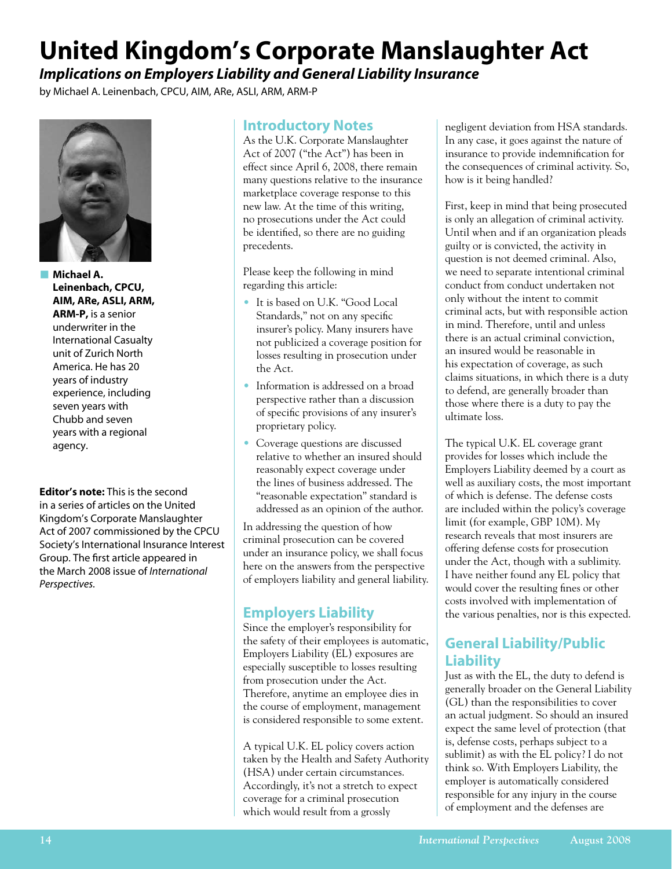# **United Kingdom's Corporate Manslaughter Act**

*Implications on Employers Liability and General Liability Insurance*

by Michael A. Leinenbach, CPCU, AIM, ARe, ASLI, ARM, ARM-P



**n** Michael A. **Leinenbach, CPCU, AIM, ARe, ASLI, ARM, ARM-P,** is a senior underwriter in the International Casualty unit of Zurich North America. He has 20 years of industry experience, including seven years with Chubb and seven years with a regional agency.

**Editor's note:** This is the second in a series of articles on the United Kingdom's Corporate Manslaughter Act of 2007 commissioned by the CPCU Society's International Insurance Interest Group. The first article appeared in the March 2008 issue of *International Perspectives.*

### **Introductory Notes**

As the U.K. Corporate Manslaughter Act of 2007 ("the Act") has been in effect since April 6, 2008, there remain many questions relative to the insurance marketplace coverage response to this new law. At the time of this writing, no prosecutions under the Act could be identified, so there are no guiding precedents.

Please keep the following in mind regarding this article:

- It is based on U.K. "Good Local Standards," not on any specific insurer's policy. Many insurers have not publicized a coverage position for losses resulting in prosecution under the Act.
- Information is addressed on a broad perspective rather than a discussion of specific provisions of any insurer's proprietary policy.
- Coverage questions are discussed relative to whether an insured should reasonably expect coverage under the lines of business addressed. The "reasonable expectation" standard is addressed as an opinion of the author.

In addressing the question of how criminal prosecution can be covered under an insurance policy, we shall focus here on the answers from the perspective of employers liability and general liability.

## **Employers Liability**

Since the employer's responsibility for the safety of their employees is automatic, Employers Liability (EL) exposures are especially susceptible to losses resulting from prosecution under the Act. Therefore, anytime an employee dies in the course of employment, management is considered responsible to some extent.

A typical U.K. EL policy covers action taken by the Health and Safety Authority (HSA) under certain circumstances. Accordingly, it's not a stretch to expect coverage for a criminal prosecution which would result from a grossly

negligent deviation from HSA standards. In any case, it goes against the nature of insurance to provide indemnification for the consequences of criminal activity. So, how is it being handled?

First, keep in mind that being prosecuted is only an allegation of criminal activity. Until when and if an organization pleads guilty or is convicted, the activity in question is not deemed criminal. Also, we need to separate intentional criminal conduct from conduct undertaken not only without the intent to commit criminal acts, but with responsible action in mind. Therefore, until and unless there is an actual criminal conviction, an insured would be reasonable in his expectation of coverage, as such claims situations, in which there is a duty to defend, are generally broader than those where there is a duty to pay the ultimate loss.

The typical U.K. EL coverage grant provides for losses which include the Employers Liability deemed by a court as well as auxiliary costs, the most important of which is defense. The defense costs are included within the policy's coverage limit (for example, GBP 10M). My research reveals that most insurers are offering defense costs for prosecution under the Act, though with a sublimity. I have neither found any EL policy that would cover the resulting fines or other costs involved with implementation of the various penalties, nor is this expected.

## **General Liability/Public Liability**

Just as with the EL, the duty to defend is generally broader on the General Liability (GL) than the responsibilities to cover an actual judgment. So should an insured expect the same level of protection (that is, defense costs, perhaps subject to a sublimit) as with the EL policy? I do not think so. With Employers Liability, the employer is automatically considered responsible for any injury in the course of employment and the defenses are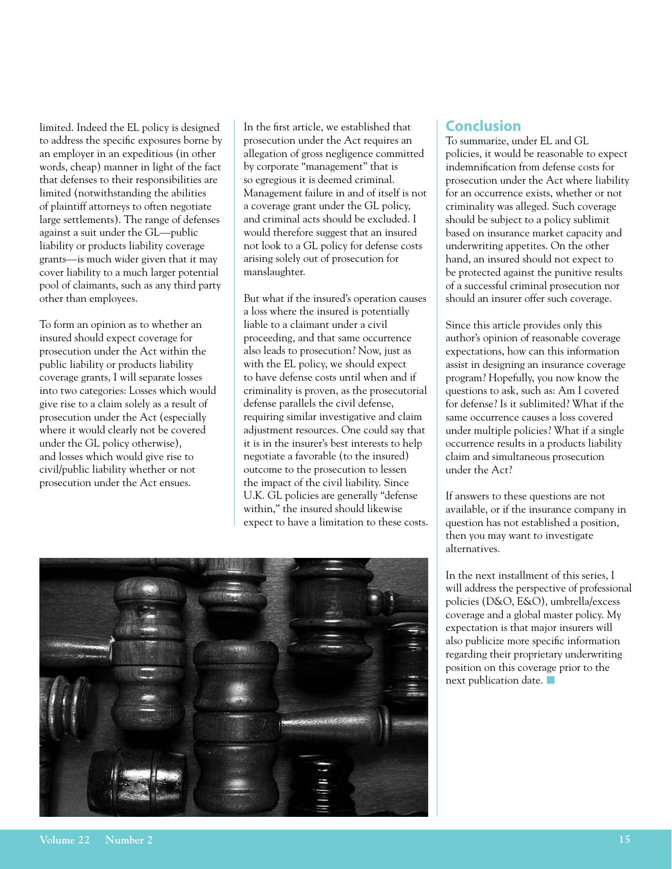limited. Indeed the EL policy is designed to address the specific exposures borne by an employer in an expeditious (in other words, cheap) manner in light of the fact that defenses to their responsibilities are limited (notwithstanding the abilities of plaintiff attorneys to often negotiate large settlements). The range of defenses against a suit under the GL—public liability or products liability coverage grants—is much wider given that it may cover liability to a much larger potential pool of claimants, such as any third party other than employees.

To form an opinion as to whether an insured should expect coverage for prosecution under the Act within the public liability or products liability coverage grants, I will separate losses into two categories: Losses which would give rise to a claim solely as a result of prosecution under the Act (especially where it would clearly not be covered under the GL policy otherwise), and losses which would give rise to civil/public liability whether or not prosecution under the Act ensues.

In the first article, we established that prosecution under the Act requires an allegation of gross negligence committed by corporate "management" that is so egregious it is deemed criminal. Management failure in and of itself is not a coverage grant under the GL policy, and criminal acts should be excluded. I would therefore suggest that an insured not look to a GL policy for defense costs arising solely out of prosecution for manslaughter.

But what if the insured's operation causes a loss where the insured is potentially liable to a claimant under a civil proceeding, and that same occurrence also leads to prosecution? Now, just as with the EL policy, we should expect to have defense costs until when and if criminality is proven, as the prosecutorial defense parallels the civil defense, requiring similar investigative and claim adjustment resources. One could say that it is in the insurer's best interests to help negotiate a favorable (to the insured) outcome to the prosecution to lessen the impact of the civil liability. Since U.K. GL policies are generally "defense within," the insured should likewise expect to have a limitation to these costs.



### **Conclusion**

To summarize, under EL and GL policies, it would be reasonable to expect indemnification from defense costs for prosecution under the Act where liability for an occurrence exists, whether or not criminality was alleged. Such coverage should be subject to a policy sublimit based on insurance market capacity and underwriting appetites. On the other hand, an insured should not expect to be protected against the punitive results of a successful criminal prosecution nor should an insurer offer such coverage.

Since this article provides only this author's opinion of reasonable coverage expectations, how can this information assist in designing an insurance coverage program? Hopefully, you now know the questions to ask, such as: Am I covered for defense? Is it sublimited? What if the same occurrence causes a loss covered under multiple policies? What if a single occurrence results in a products liability claim and simultaneous prosecution under the Act?

If answers to these questions are not available, or if the insurance company in question has not established a position, then you may want to investigate alternatives.

In the next installment of this series, I will address the perspective of professional policies (D&O, E&O), umbrella/excess coverage and a global master policy. My expectation is that major insurers will also publicize more specific information regarding their proprietary underwriting position on this coverage prior to the next publication date.  $\blacksquare$